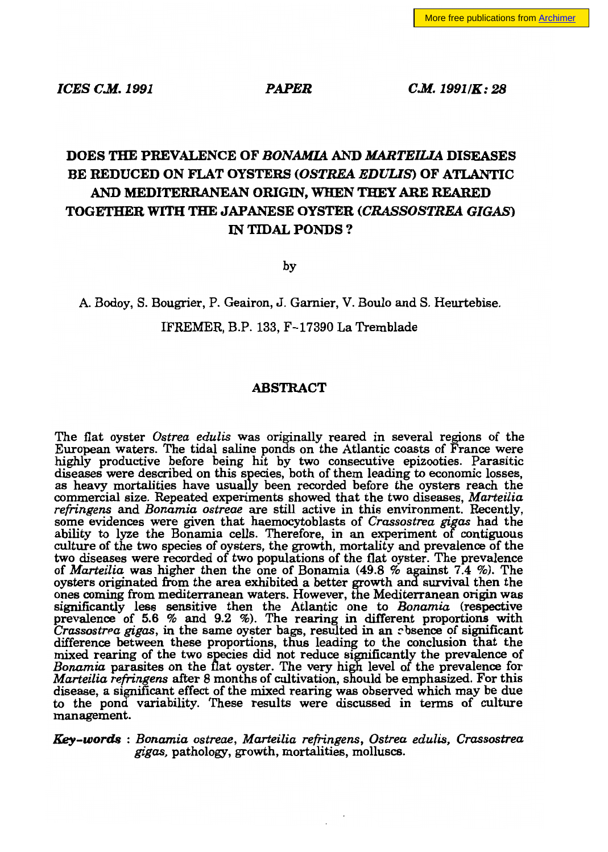*ICES C.M. 1991* PAPER *C.M. 19911K: 28* 

# DOES THE PREVALENCE OF *BONAMIA* AND *MARTEIUA* DISEASES BE REDUCED ON FLAT OYSTERS *(OSTREA EDUUS)* OF ATLANTIC AND MEDITERRANEAN ORIGIN, WHEN THEY ARE REARED TOGETHER WITH THE JAPANESE OYSTER *(CRASSOSTREA GIGAS)* IN TIDAL PONDS?

by

# A. Bodoy, S. Bougrier, P. Geairon, J. Garnier, V. Boulo and S. Heurtebise. IFREMER, B.P. 133, F-17390 La Tremblade

# ABSTRACT

The fiat oyster *Ostrea edulis* was originally reared in several regions of the European waters. The tidal saline ponds on the Atlantic coasts of France were highly productive before being hit by two consecutive epizooties. Parasitic diseases were described on this species, both of them leading 10 economic losses, as heavy mortalities have usually been recorded before the oysters reach the commercial size. Repeated experiments showed that the two diseases, *Marteilia refringens* and *Bonamia ostreae* are still active in this environment. Recently, some evidences were given that haemocytoblasts of *Crassostrea gigas* had the ability 10 lyze the Bonamia cells. Therefore, in an experiment of contiguous culture of the two species of oysters, the growth, mortality and prevalence of the two diseases were recorded of two populations of the fiat oyster. The prevalence of *Marteilia* was higher then the one of Bonamia (49.8 % against 7.4 %). The oysters originated from the area exhibited a better growth and survival then the ones coming from mediterranean waters. However, the Mediterranean origin was significantly less sensitive then the Atlantic one to *Bonamia* (respective preValence of 5.6 % and 9.2 %). The rearing in different proportions with *Crassostrea gigas*, in the same oyster bags, resulted in an *c* bsence of significant difference between these proportions, thus leading to the conclusion that the mixed rearing of the two species did not reduce significantly the prevalence of *Bonamia* parasites on the flat oyster. The very high level of the prevalence for *Marteilia refringens* after 8 months of cultivation, should be emphasized. For this disease, a significant effect of the mixed rearing was observed which may be due 10 the pond variability. These results were discussed in terms of culture management.

*Key-words* : *Bonamia* os*treae*, *Marteilia refringens, Ostrea edulis, Crassostrea gigas,* pathology, growth, mortalities, molluscs.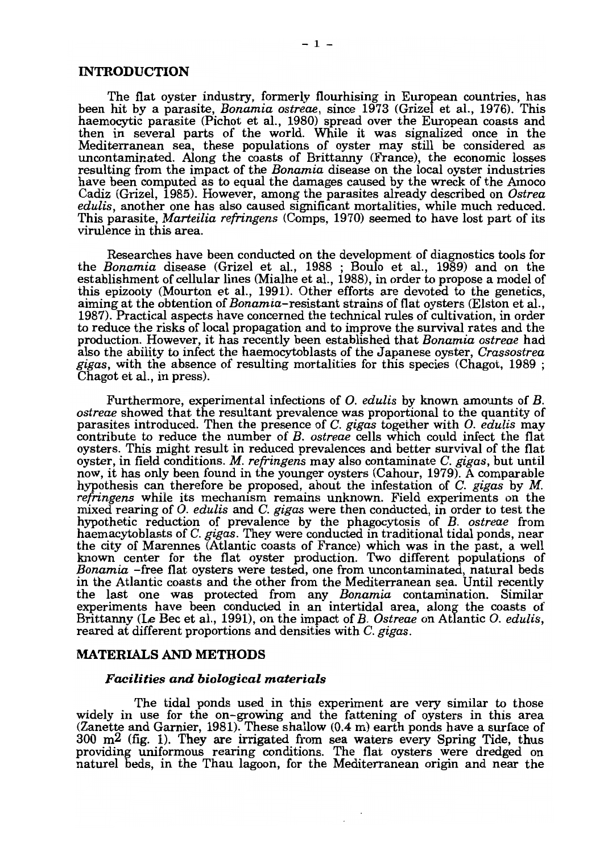## INTRODUCTION

The fiat oyster industry, formerly fiourhising in European countries, has been hit by a parasite, *Bonamia ostreae,* since 1973 (Grizel et al., 1976). This haemocytic parasite (Pichot et al., 1980) spread over the European coasts and then in several parts of the world. While it was signalized once in the Mediterranean sea, these populations of oyster may still be considered as uncontaminated. Along the coasts of Brittanny (France), the economic losses resulting from the impact of the *Bonamia* disease on the local oyster industries have been computed as to equal the damages caused by the wreck of the Amoco Cadiz (Grizel, 1985). However, among the parasites already described on *Ostrea edulis,* another one has also caused significant mortalities, while much reduced. This parasite, *Marteilia refringens* (Comps, 1970) seemed to have lost part of its virulence in this area.

Researches have been conducted on the development of diagnostics tools for the *Bonamia* disease (Grizel et al., 1988 ; Boulo et al., 1989) and on the establishment of cellular lines (Mialhe et al., 1988), in order to propose a model of this epizooty (Mourton et al., 1991). Other efforts are devoted to the genetics, aiming at the obtention of *Bonamia-resistant* strains of fiat oysters (Elston et al., 1987). Practical aspects have concerned the technical rules of cultivation, in order 10 reduce the risks of local propagation and to improve the survival rates and the production. However, it has recently been established that *Bonamia ostreae* had also the ability 10 infect the haemocytoblasts of the Japanese oyster, *Crassostrea gigas,* with the absence of resulting mortalities for this species (Chagot, 1989 ; Chagot et al., in press).

Furthermore, experimental infections of O. *edulis* by known amounts of *B. ostreae* showed that the resultant prevalence was proportional to the quantity of parasites introduced. Then the presence of C. *gigas* together with O. *edulis* may contribute to reduce the number of *B. ostreae* cells which could infect the flat oysters. This might result in reduced prevalences and better survival of the fiat oyster, in field conditions. *M. refringens* may also contaminate C. *gigas,* but until now, it has only been found in the younger oysters (Cahour, 1979). A comparable hypothesis can therefore be proposed, about the infestation of C. *gigas* by *M. refringens* while its mechanism remains unknown. Field experiments on the mixed rearing of O. *edulis* and C. *gigas* were then conducted, in order to test the hypothetic reduction of prevalence by the phagocytosis of *B. ostreae* from haemacytoblasts of C. *gigas.* They were conducted in traditional tidal ponds, near the city of Marennes (Atlantic coasts of France) which was in the past, a weIl known center for the flat oyster production. Two different populations of *Bonamia* -free fiat oysters were tested, one from uncontaminated, natural beds in the Atlantic coasts and the other from the Mediterranean sea. Until recently the last one was protected from any *Bonamia* contamination. Similar experiments have been conducted in an intertidal area, along the coasts of Brittanny (Le Bec et al., 1991), on the impact of *B. Ostreae* on Atlantic O. *edulis,*  reared at different proportions and densities with C. *gigas.* 

## MATERIALS AND METHODS

#### *Facilities and biological materials*

The tidal ponds used in this experiment are very similar to those widely in use for the on-growing and the fattening of oysters in this area (Zanette and Garnier, 1981). These shallow (0.4 m) earth ponds have a surface of  $300 \text{ m}^2$  (fig. 1). They are irrigated from sea waters every Spring Tide, thus providing uniformous rearing conditions. The fiat oysters were dredged on naturel beds, in the Thau lagoon, for the Mediterranean origin and near the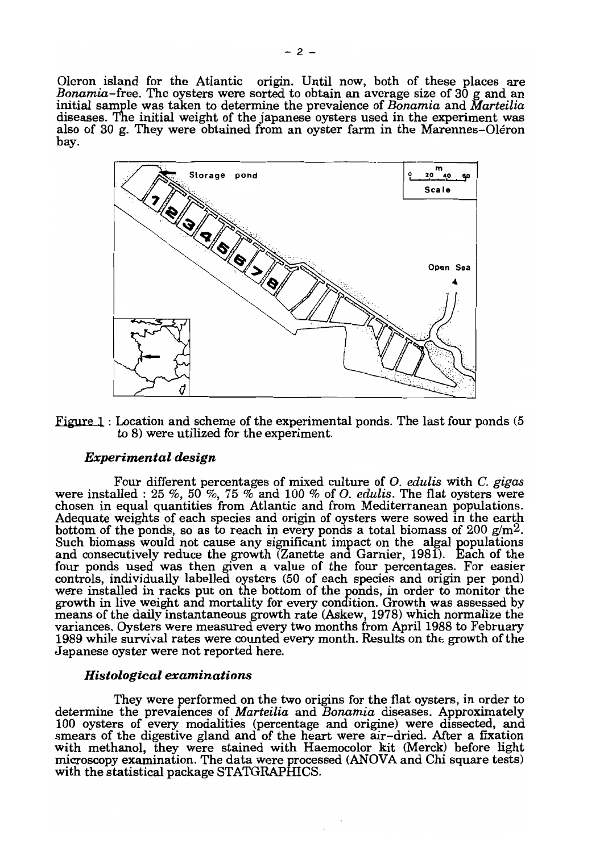Oleron island for the Atlantic origin. Until now, both of these places are *Bonamia-free.* The oysters were sorted to obtain an average size of 30 g and an initial sample was taken to determine the prevalence of *Bonamia* and *Marteilia*  diseases. The initial weight of the japanese oysters used in the experiment was also of 30 g. They were obtained from an oyster farm in the Marennes-Oléron bay.



Figure 1 : Location and scheme of the experimental ponds. The last four ponds (5) to 8) were utilized for the experiment.

#### *Experimental design*

Four different percentages of mixed culture of O. *edulis* with C. *gigas*  were installed : 25 %, 50 %, 75 % and 100 % of O. *edulis.* The fiat oysters were chosen in equal quantities from Atlantic and from Mediterranean populations. Adequate weights of each species and origin of oysters were sowed in the earth bottom of the ponds, so as to reach in every ponds a total biomass of 200  $g/m^2$ . Such biomass would not cause any significant impact on the algal populations and consecutively reduce the growth (Zanette and Garnier, 1981). Each of the four ponds used was then given a value of the four percentages. For easier controls, individually labelled oysters (50 of each species and origin per pond) were installed in racks put on the bottom of the ponds, in order to monitor the growth in live weight and mortality for every condition. Growth was assessed by means of the daily instantaneous growth rate (Askew, 1978) which normalize the variances. Oysters were measured every two months from April 1988 to February 1989 while survival rates were counted every month. Results on the growth of the Japanese oyster were not reported here.

#### *Histological examinations*

They were performed on the two origins for the fiat oysters, in order to determine the prevalences of *Marteilia* and *Bonamia* diseases. Approximately 100 oysters of every modalities (percentage and origine) were dissected, and smears of the digestive gland and of the heart were air-dried. After a fixation with methanol, they were stained with Haemocolor kit (Merck) before light microscopy examination. The data were processed (ANOVA and Chi square tests) with the statistical package STATGRAPHICS.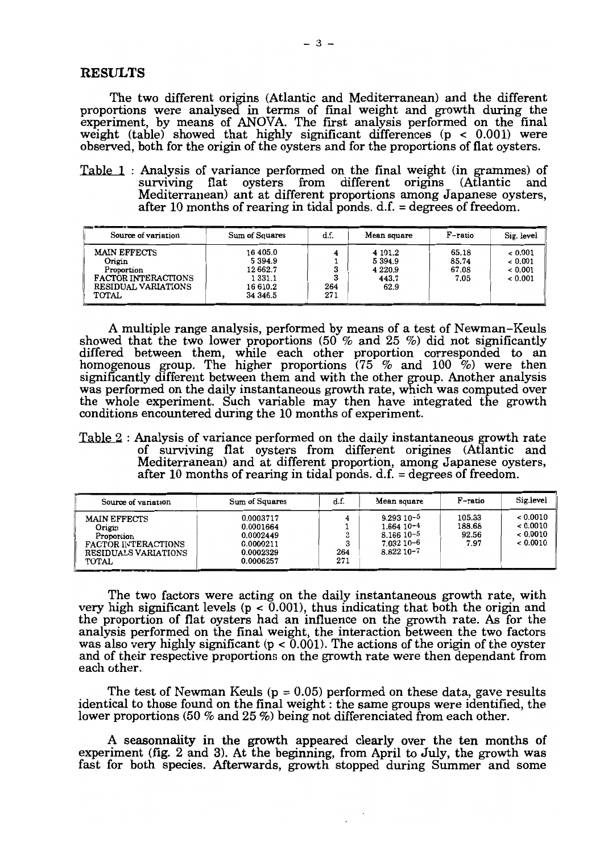## **RESULTS**

The two different origins (Atlantic and Mediterranean) and the different proportions were analysed in terms of fmal weight and growth during the experiment, by means of ANDVA. The frrst analysis performed on the final weight (table) showed that highly significant differences ( $p < 0.001$ ) were observed, both for the origin of the oysters and for the proportions of fiat oysters.

Table 1 : Analysis of variance performed on the final weight (in grammes) of surviving flat oysters from different origins (Atlantic and Mediterranean) ant at different proportions among Japanese oysters, after 10 months of rearing in tidal ponds.  $d.f. = degrees of freedom.$ 

| Source of variation                                                                                       | Sum of Squares                                                   | d.f.       | Mean square                                       | ----<br>F-ratio                 | Sig. level                               |  |
|-----------------------------------------------------------------------------------------------------------|------------------------------------------------------------------|------------|---------------------------------------------------|---------------------------------|------------------------------------------|--|
| <b>MAIN EFFECTS</b><br>Origin<br>Proportion<br>FACTOR INTERACTIONS<br><b>RESIDUAL VARIATIONS</b><br>TOTAL | 16 405.0<br>5394.9<br>12662.7<br>1 331.1<br>16 610.2<br>34 346.5 | 264<br>271 | 4 101.2<br>5394.9<br>4 2 2 0 . 9<br>443.7<br>62.9 | 65.18<br>85.74<br>67.08<br>7.05 | < 0.001<br>< 0.001<br>< 0.001<br>< 0.001 |  |

A multiple range analysis, performed by means of a test of Newman-Keuls showed that the two lower proportions  $(50\%$  and  $25\%$ ) did not significantly differed between them, while each other proportion corresponded to an homogenous group. The higher proportions (75 % and 100 %) were then significantly different between them and with the other group. Another analysis was performed on the daily instantaneous growth rate, which was computed over the whole experiment. Such variable may then have integrated the growth conditions encountered during the 10 months of experiment.

Table 2 : Analysis of variance performed on the daily instantaneous growth rate of surviving flat oysters from different origines (Atlantic and Mediterranean) and at different proportion, among Japanese oysters, after 10 months of rearing in tidal ponds.  $d.f. = degrees of freedom.$ 

| Source of variation                                                                                                  | Sum of Squares                                                                       |                 | Mean square                                                                  | F-ratio                           | Sig.level                            |
|----------------------------------------------------------------------------------------------------------------------|--------------------------------------------------------------------------------------|-----------------|------------------------------------------------------------------------------|-----------------------------------|--------------------------------------|
| <b>MAIN EFFECTS</b><br>Origin<br>Proportion<br>FACTOR INTERACTIONS<br><b>RESIDUALS VARIATIONS</b><br>TOTAL<br>______ | 0.0003717<br>0.0001664<br>0.0002449<br>0.0000211<br>0.0002329<br>0.0006257<br>______ | 3<br>264<br>271 | $9.29310 - 5$<br>$1.664$ 10-4<br>$8.166$ 10-5<br>7.032 10-6<br>$8.82210 - 7$ | 105.33<br>188.68<br>92.56<br>7.97 | 0.0010<br>0.0010<br>0.0010<br>0.0010 |

The two factors were acting on the daily instantaneous growth rate, with very high significant levels (p < 0.001), thus indicating that both the origin and the proportion of flat oysters had an influence on the growth rate. As for the analysis performed on the final weight, the interaction between the two factors was also very highly significant ( $p < 0.001$ ). The actions of the origin of the oyster and of their respective proportions on the growth rate were then dependant from each other.

The test of Newman Keuls ( $p = 0.05$ ) performed on these data, gave results identical to those found on the final weight : the same groups were identified, the lower proportions (50 % and 25 %) being not differenciated from each other.

A seasonnality in the growth appeared clearly over the ten months of experiment (fig. 2 and 3). At the beginning, from April to July, the growth was fast for both species. Afterwards, growth stopped during Summer and some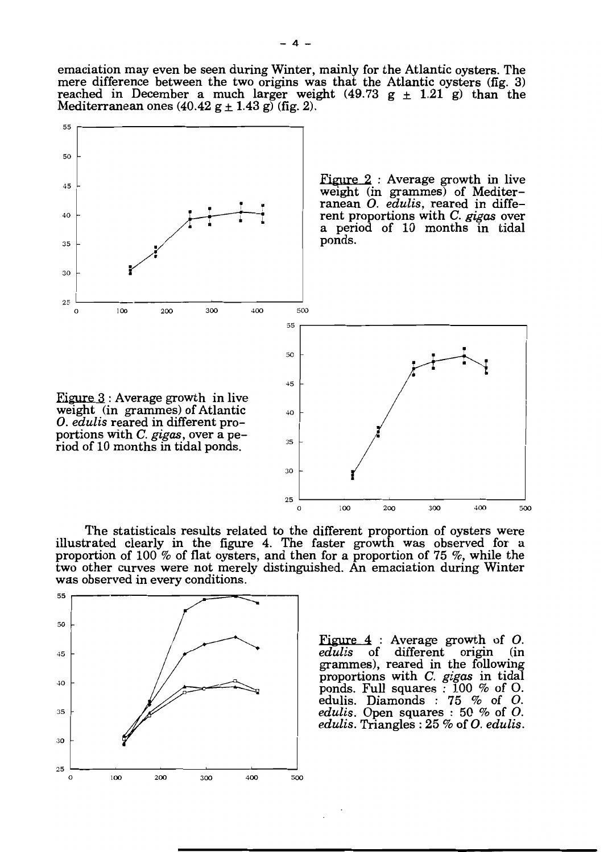emaciation may even be seen during Winter, mainly for the Atlantic oysters. The mere difference between the two origins was that the Atlantic oysters (fig. 3) reached in December a much larger weight (49.73  $g \pm 1.21$  g) than the



The statisticals results related to the different proportion of oysters were illustrated clearly in the figure 4. The faster growth was observed for a proportion of 100 % of fiat oysters, and then for a proportion of 75 %, while the two other curves were not merely distinguished. An emaciation during Winter



Figure 4 : Average growth of O.<br>edulis of different origin (in grammes), reared in the following proportions with C. *gigas* in tidal *edulis.* Triangles: 25 % of O. *edulis.*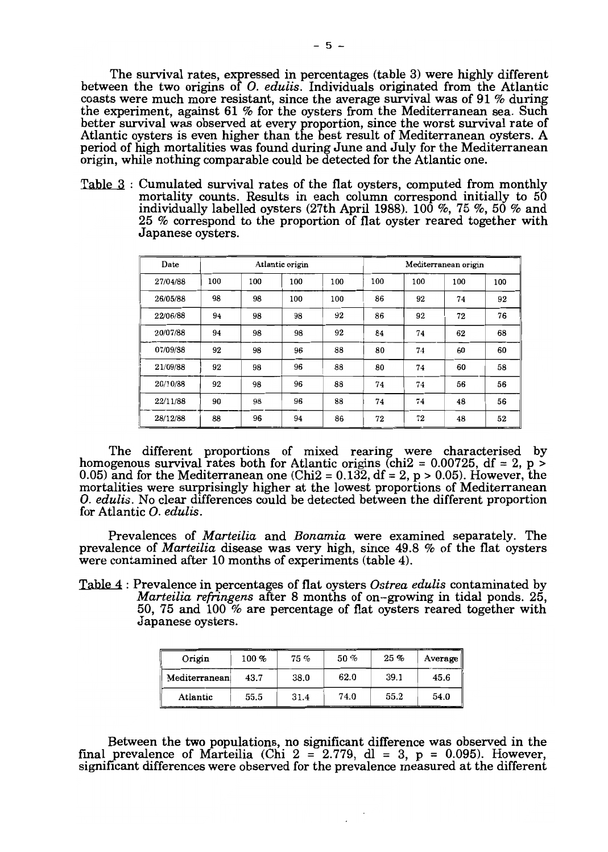The survival rates, expressed in percentages (table 3) were highly different between the two origins of O. *eduiis.* Individuals originated from the Atlantic coasts were much more resistant, since the average survival was of 91 % during the experiment, against 61 % for the oysters from the Mediterranean sea. Such better survival was observed at every proportion, since the worst survival rate of Atlantic oysters is even higher than the best result of Mediterranean oysters. A period of high mortalities was found during June and July for the Mediterranean origin, while nothing comparable could be detected for the Atlantic one.

Table 3 : Cumulated survival rates of the fiat oysters, computed from monthly mortality counts. Results in each column correspond initially to 50 individually labelled oysters (27th April 1988). 100 %, 75 %, 50 % and 25 % correspond to the proportion of fiat oyster reared together with Japanese oysters.

| Date     | Atlantic origin |     |     | Mediterranean origin |     |     |     |     |
|----------|-----------------|-----|-----|----------------------|-----|-----|-----|-----|
| 27/04/88 | 100             | 100 | 100 | 100                  | 100 | 100 | 100 | 100 |
| 26/05/88 | 98              | 98  | 100 | 100                  | 86  | 92  | 74  | 92  |
| 22/06/88 | 94              | 98  | 98  | 92                   | 86  | 92  | 72  | 76  |
| 20/07/88 | 94              | 98  | 98  | 92                   | 84  | 74  | 62  | 68  |
| 07/09/88 | 92              | 98  | 96  | 88                   | 80  | 74  | 60  | 60  |
| 21/09/88 | 92              | 98  | 96  | 88                   | 80  | 74  | 60  | 58  |
| 20/10/88 | 92              | 98  | 96  | 88                   | 74  | 74  | 56  | 56  |
| 22/11/88 | 90              | 98  | 96  | 88                   | 74  | 74  | 48  | 56  |
| 28/12/88 | 88              | 96  | 94  | 86                   | 72  | 72  | 48  | 52  |

The different proportions of mixed rearing were characterised by homogenous survival rates both for Atlantic origins (chi2 =  $0.00725$ , df = 2, p > 0.05) and for the Mediterranean one (Chi2 =  $0.132$ , df = 2, p > 0.05). However, the mortalities were surprisingly higher at the lowest proportions of Mediterranean O. *edulis.* No clear differences could be detected between the different proportion for Atlantic O. *edulis.* 

Prevalences of *Marteilia* and *Bonamia* were examined separately. The prevalence of *Marteilia* disease was very high, since 49.8 % of the fiat oysters were contamined after 10 months of experiments (table 4).

Table 4 : Prevalence in percentages of fiat oysters *Ostrea edulis* contaminated by *Marteilia refringens* after 8 months of on-growing in tidal ponds. 25, 50, 75 and 100 % are percentage of fiat oysters reared together with Japanese oysters.

| Origin        | $100 \ \%$ | $75\%$ | 50%  | $25\%$ | Average $\parallel$ |
|---------------|------------|--------|------|--------|---------------------|
| Mediterranean | 43.7       | 38.0   | 62.0 | 39.1   | 45.6                |
| Atlantic      | 55.5       | 31.4   | 74.0 | 55.2   | 54.0                |

Between the two populations, no significant difference was observed in the final prevalence of Marteilia (Chi 2 = 2.779, dl = 3, p = 0.095). However, significant differences were observed for the prevalence measured at the different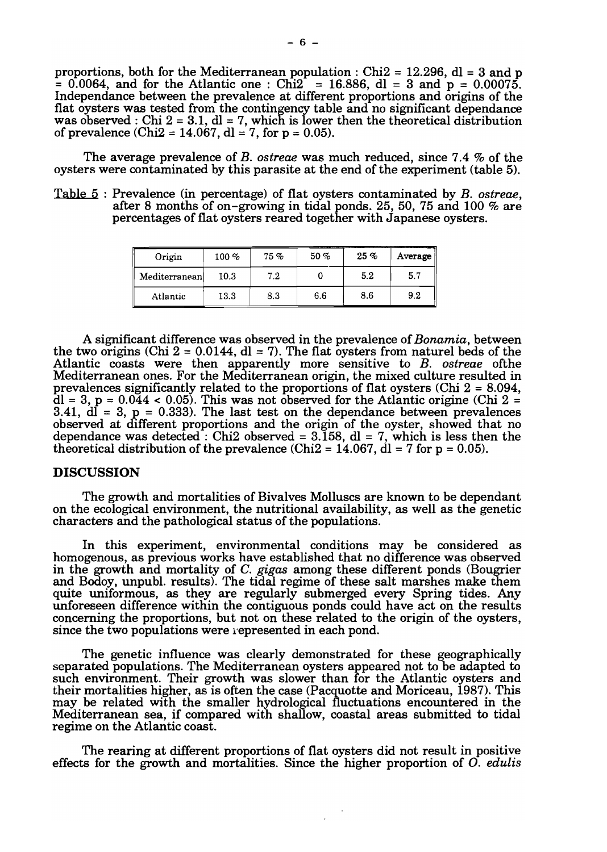proportions, both for the Mediterranean population : Chi2 = 12.296, dl = 3 and p  $= 0.0064$ , and for the Atlantic one: Chi2 = 16.886, dl = 3 and p = 0.00075. Independance between the prevalence at different proportions and origins of the flat oysters was tested from the contingency table and no significant dependance was observed : Chi  $2 = 3.1$ , dl = 7, which is lower then the theoretical distribution of prevalence (Chi2 = 14.067, dl = 7, for  $p = 0.05$ ).

The average prevalence of *B. ostreae* was much reduced, since 7.4 % of the oysters were contaminated by this parasite at the end of the experiment (table 5).

Table 5 : Prevalence (in percentage) of flat oysters contaminated by *B. ostreae,*  after 8 months of on-growing in tidal ponds. 25, 50, 75 and 100 % are percentages of flat oysters reared together with Japanese oysters.

| Origin        | $100\%$ | 75% | 50% | $25\%$ | Average |
|---------------|---------|-----|-----|--------|---------|
| Mediterranean | 10.3    | 7.2 |     | 5.2    | 5.7     |
| Atlantic      | 13.3    | 8.3 | 6.6 | 8.6    | 9.2     |

A significant difference was observed in the prevalence of*Bonamia,* between the two origins (Chi  $2 = 0.0144$ , dl = 7). The flat oysters from naturel beds of the Atlantic coasts were then apparently more sensitive to *B. ostreae* ofthe Mediterranean ones. For the Mediterranean origin, the mixed culture resulted in prevalences significantly related to the proportions of flat oysters (Chi 2 = 8.094,  $dl = 3$ ,  $p = 0.044 < 0.05$ ). This was not observed for the Atlantic origine (Chi 2 =  $3.41$ , dl = 3,  $p = 0.333$ ). The last test on the dependance between prevalences observed at different proportions and the origin of the oyster, showed that no dependance was detected : Chi2 observed =  $3.\overline{158}$ , dl = 7, which is less then the theoretical distribution of the prevalence (Chi2 =  $14.067$ , dl = 7 for p = 0.05).

## DISCUSSION

The growth and mortalities of Bivalves MoIluscs are known to be dependant on the ecological environment, the nutritional availability, as well as the genetic characters and the pathological status of the populations.

In this experiment, environmental conditions may he considered as homogenous, as previous works have established that no difference was observed in the growth and mortality of C. *gigas* among these different ponds (Bougrier and Bodoy, unpubl. results). The tidal regime of these salt marshes make them quite uniformous, as they are regularly submerged every Spring tides. Any unforeseen difference within the contiguous ponds could have act on the results concerning the proportions, but not on these related to the origin of the oysters, since the two populations were represented in each pond.

The genetic influence was clearly demonstrated for these geographically separated populations. The Mediterranean oysters appeared not to be adapted to such environment. Their growth was slower than for the Atlantic oysters and their mortalities higher, as is often the case (Pacquotte and Moriceau, 1987). This may be related with the smaIler hydrological fluctuations encountered in the Mediterranean sea, if compared with shallow, coastal areas submitted to tidal regime on the Atlantic coast.

The rearing at different proportions of flat oysters did not result in positive effects for the growth and mortalities. Since the higher proportion of O. *edulis*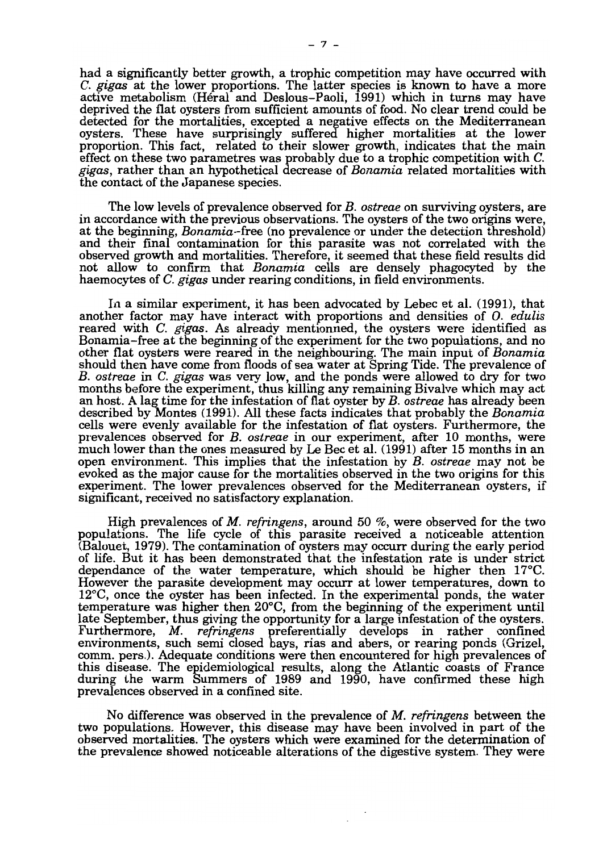had a significantly better growth, a trophic competition may have occurred with C. *gigas* at the lower proportions. The latter species is known to have a more active metabolism (Héral and Deslous-Paoli, 1991) which in turns may have deprived the fiat oysters from sufficient amounts of food. No clear trend could be detected for the mortalities, excepted a negative effects on the Mediterranean oysters. These have surprisingly suffered higher mortalities at the lower proportion. This fact, related to their slower growth, indicates that the main effect on these two parametres was probably due to a trophic competition with C. *gigas,* rather than an hypothetical decrease of *Bonamia* related mortalities with the contact of the Japanese species.

The low levels of prevalence observed for *B. ostreae* on surviving oysters, are in accordance with the previous observations. The oysters of the two origins were, at the beginning, *Bonamia-free* (no prevalence or under the detection threshold) and their final contamination for this parasite was not correlated with the observed growth and mortalities. Therefore, it seemed that these field results did not allow to confirm that *Bonamia* cells are densely phagocyted by the haemocytes of C. *gigas* under rearing conditions, in field environments.

In a similar experiment, it has been advocated by Lebec et al. (1991), that another factor may have interact with proportions and densities of O. *edulis*  reared with C. *gigas.* As already mentionned, the oysters were identified as Bonamia-free at the beginning of the experiment for the two populations, and no other flat oysters were reared in the neighbouring. The main input of *Bonamia*  should then have come from floods of sea water at Spring Tide. The prevalence of *B. ostreae* in C. *gigas* was very low, and the ponds were allowed to dry for two months before the experiment, thus killing any remaining Bivalve which may act an host. A lag time for the infestation of flat oyster by *B. ostreae* has already been described by Montes (1991). AlI these facts indicates that probably the *Bonamia*  cells were evenly available for the infestation of fiat oysters. Furthermore, the prevalences observed for *B. ostreae* in our experiment, after 10 months, were much lower than the ones measured by Le Bec et al. (1991) after 15 months in an open environment. This implies that the infestation by *B. ostreae* may not be evoked as the major cause for the mortalities observed in the two origins for this experiment. The lower prevalences observed for the Mediterranean oysters, if significant, received no satisfactory explanation.

High prevalences of *M. refringens,* around 50 %, were observed for the two populations. The life cycle of this parasite received a noticeable attention (Balouet, 1979). The contamination of oysters may occurr during the early period of life. But it has been demonstrated that the infestation rate is under strict dependance of the water temperature, which should be higher then 17°C. However the parasite development may occurr at lower temperatures, down to 12°C, once the oyster has been infected. In the experimental ponds, the water temperature was higher then 20°C, from the beginning of the experiment until late September, thus giving the opportunity for a large infestation of the oysters. Furthermore, *M. refringens* preferentially develops in rather confined environments, such senù closed bays, rias and abers, or rearing ponds (Grizel, comm. pers.). Adequate conditions were then encountered for high prevalences of this disease. The epidemiological results, along the Atlantic coasts of France during the warm Summers of 1989 and 1990, have confirmed these high prevalences observed in a confined site.

No difference was observed in the prevalence of *M. refringens* between the two populations. However, this disease may have been involved in part of the observed mortalities. The oysters which were exanùned for the determination of the prevalence showed noticeable alterations of the digestive system. They were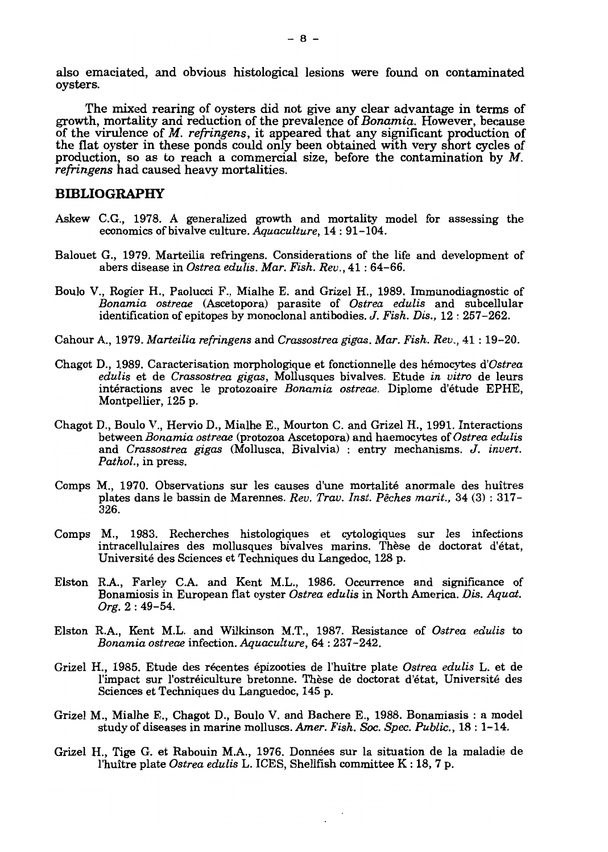also emaciated, and obvious histological lesions were found on contaminated oysters.

The mixed rearing of oysters did not give any clear advantage in terms of growth, mortality and reduetion of the prevalence of *Bonamia.* However, because of the virulence of M. *refringens,* it appeared that any significant production of the fiat oyster in these ponds could only been obtained with very short cycles of production, so as to reach a commercial size, before the contamination by  $M$ . *refringens* had caused heavy mortalities.

## **BIBLIOGRAPHY**

- Askew C.G., 1978. A generalized growth and mortality model for assessing the economics of bivalve culture. *Aquaculture,* 14: 91-104.
- Balouet G., 1979. Marteilia refringens. Considerations of the life and development of abers disease in *Ostrea edulis. Mar. Fish. Rev.,* 41: 64-66.
- Boulo V., Rogier H., Paolucci F., Mialhe E. and Grizel H., 1989. Immunodiagnostic of *Bonamia ostreae* (Ascetopora) parasite of *Ostrea edulis* and subcellular identification of epitopes by monoclonal antibodies. J. *Fish. Dis.,* 12: 257-262.
- Cahour A, 1979. *Marteilia refringens* and *Crassostrea gigas. Mar. Fish. Rev.,* 41 : 19-20.
- Chagot D., 1989. Caracterisation morphologique et fonctionnelle des hémocytes *d'Ostrea edulis* et de *Crassostrea gigas,* Mollusques bivalves. Etude *in vitro* de leurs intéractions avec le protozoaire *Bonamia ostreae.* Diplome d'étude EPHE, Montpellier, 125 p.
- Chagot D., Boulo V., Hervio D., Mialhe E., Mourton C. and Grizel H., 1991. Interactions between *Bonamia ostreae* (protozoa Ascetopora) and haemocytes of *Ostrea edulis*  and *Crassostrea gigas* (Mollusca, Bivalvia) : entry mechanisms. J. *invert. Pathol.,* in press.
- Comps M., 1970. Observations sur les causes d'une mortalité anormale des huîtres plates dans le bassin de Marennes. *Rev. Trav. Inst. Pêches marit.,* 34 (3) : 317 326.
- Comps M., 1983. Recherches histologiques et cytologiques sur les infections intracellulaires des mollusques bivalves marins. Thèse de doctorat d'état, Université des Sciences et Techniques du Langedoc, 128 p.
- Elston R.A., Farley C.A. and Kent M.L., 1986. Occurrence and significance of Bonamiosis in European fiat oyster *Ostrea edulis* in North America. *Dis. Aquat. Org.* 2 : 49-54.
- Elston R.A, Kent M.L. and Wilkinson M.T., 1987. Resistance of *Ostrea edulis* to *Bonamia ostreae* infection. *Aquaculture,* 64 : 237-242.
- Grizel H., 1985. Etude des récentes épizooties de l'huître plate *Ostrea edulis* L. et de l'impact sur l'ostréiculture bretonne. Thèse de doctorat d'état, Université des Sciences et Techniques du Languedoc, 145 p.
- Grizel M., Mialhe E., Chagot D., Boulo V. and Bachere E., 1988. Bonamiasis : a model study of diseases in marine molluscs. *Amer. Fish. Soc. Spec. Public.*, 18: 1-14.
- Grizel H., Tige G. et Rabouin M.A, 1976. Données sur la situation de la maladie de l'huître plate *Ostrea edulis* L. ICES, Shellfish committee K : 18, 7 p.